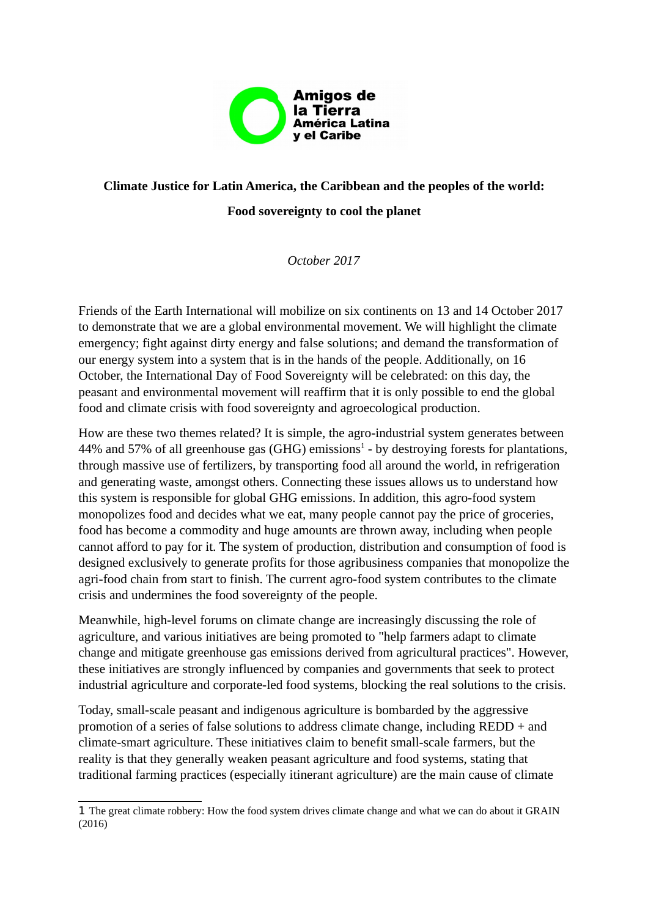

## **Climate Justice for Latin America, the Caribbean and the peoples of the world: Food sovereignty to cool the planet**

*October 2017*

Friends of the Earth International will mobilize on six continents on 13 and 14 October 2017 to demonstrate that we are a global environmental movement. We will highlight the climate emergency; fight against dirty energy and false solutions; and demand the transformation of our energy system into a system that is in the hands of the people. Additionally, on 16 October, the International Day of Food Sovereignty will be celebrated: on this day, the peasant and environmental movement will reaffirm that it is only possible to end the global food and climate crisis with food sovereignty and agroecological production.

How are these two themes related? It is simple, the agro-industrial system generates between 44% and 57% of all greenhouse gas (GHG) emissions<sup>[1](#page-0-0)</sup> - by destroying forests for plantations, through massive use of fertilizers, by transporting food all around the world, in refrigeration and generating waste, amongst others. Connecting these issues allows us to understand how this system is responsible for global GHG emissions. In addition, this agro-food system monopolizes food and decides what we eat, many people cannot pay the price of groceries, food has become a commodity and huge amounts are thrown away, including when people cannot afford to pay for it. The system of production, distribution and consumption of food is designed exclusively to generate profits for those agribusiness companies that monopolize the agri-food chain from start to finish. The current agro-food system contributes to the climate crisis and undermines the food sovereignty of the people.

Meanwhile, high-level forums on climate change are increasingly discussing the role of agriculture, and various initiatives are being promoted to "help farmers adapt to climate change and mitigate greenhouse gas emissions derived from agricultural practices". However, these initiatives are strongly influenced by companies and governments that seek to protect industrial agriculture and corporate-led food systems, blocking the real solutions to the crisis.

Today, small-scale peasant and indigenous agriculture is bombarded by the aggressive promotion of a series of false solutions to address climate change, including REDD + and climate-smart agriculture. These initiatives claim to benefit small-scale farmers, but the reality is that they generally weaken peasant agriculture and food systems, stating that traditional farming practices (especially itinerant agriculture) are the main cause of climate

<span id="page-0-0"></span><sup>1</sup> The great climate robbery: How the food system drives climate change and what we can do about it GRAIN (2016)